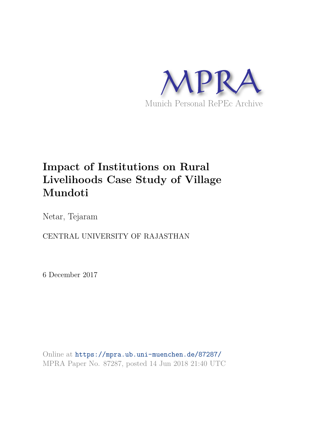

# **Impact of Institutions on Rural Livelihoods Case Study of Village Mundoti**

Netar, Tejaram

CENTRAL UNIVERSITY OF RAJASTHAN

6 December 2017

Online at https://mpra.ub.uni-muenchen.de/87287/ MPRA Paper No. 87287, posted 14 Jun 2018 21:40 UTC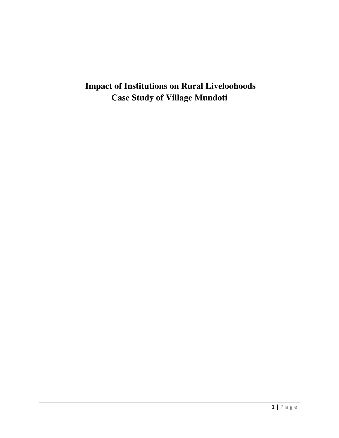## **Impact of Institutions on Rural Liveloohoods Case Study of Village Mundoti**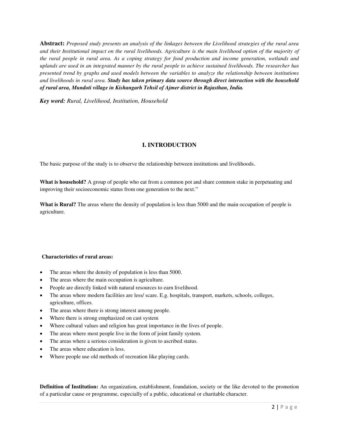**Abstract:** *Proposed study presents an analysis of the linkages between the Livelihood strategies of the rural area and their Institutional impact on the rural livelihoods. Agriculture is the main livelihood option of the majority of the rural people in rural area. As a coping strategy for food production and income generation, wetlands and uplands are used in an integrated manner by the rural people to achieve sustained livelihoods. The researcher has presented trend by graphs and used models between the variables to analyze the relationship between institutions and livelihoods in rural area. Study has taken primary data source through direct interaction with the household of rural area, Mundoti village in Kishangarh Tehsil of Ajmer district in Rajasthan, India.* 

*Key word: Rural, Livelihood, Institution, Household* 

## **I. INTRODUCTION**

The basic purpose of the study is to observe the relationship between institutions and livelihoods.

**What is household?** A group of people who eat from a common pot and share common stake in perpetuating and improving their socioeconomic status from one generation to the next."

**What is Rural?** The areas where the density of population is less than 5000 and the main occupation of people is agriculture.

#### **Characteristics of rural areas:**

- The areas where the density of population is less than 5000.
- The areas where the main occupation is agriculture.
- People are directly linked with natural resources to earn livelihood.
- The areas where modern facilities are less/ scare. E.g. hospitals, transport, markets, schools, colleges, agriculture, offices.
- The areas where there is strong interest among people.
- Where there is strong emphasized on cast system
- Where cultural values and religion has great importance in the lives of people.
- The areas where most people live in the form of joint family system.
- The areas where a serious consideration is given to ascribed status.
- The areas where education is less.
- Where people use old methods of recreation like playing cards.

**Definition of Institution:** An organization, establishment, foundation, society or the like devoted to the promotion of a particular cause or programme, especially of a public, educational or charitable character.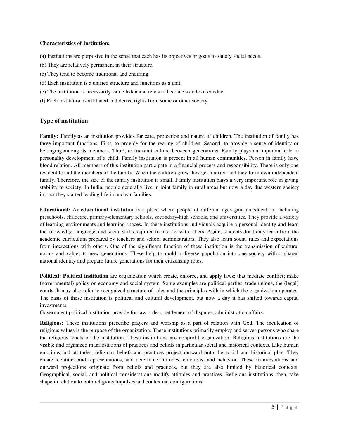#### **Characteristics of Institution:**

- (а) Institutions are purposive in the sense that each has its objectives or goals to satisfy social needs.
- (b) They are relatively permanent in their structure.
- (c) They tend to become traditional and enduring.
- (d) Each institution is a unified structure and functions as a unit.
- (e) The institution is necessarily value laden and tends to become a code of conduct.
- (f) Each institution is affiliated and derive rights from some or other society.

## **Type of institution**

**Family:** Family as an institution provides for care, protection and nature of children. The institution of family has three important functions. First, to provide for the rearing of children. Second, to provide a sense of identity or belonging among its members. Third, to transmit culture between generations. Family plays an important role in personality development of a child. Family institution is present in all human communities. Person in family have blood relation. All members of this institution participate in a financial process and responsibility. There is only one resident for all the members of the family. When the children grow they get married and they form own independent family. Therefore, the size of the family institution is small. Family institution plays a very important role in giving stability to society. In India, people generally live in joint family in rural areas but now a day due western society impact they started leading life in nuclear families.

**Educational:** An **educational institution** is a place where people of different ages gain an [education,](https://en.wikipedia.org/wiki/Education) including preschools, childcare, primary-elementary schools, secondary-high schools, and universities. They provide a variety of [learning environments a](https://en.wikipedia.org/wiki/Learning_environment)n[d learning spaces.](https://en.wikipedia.org/wiki/Learning_space) In these institutions individuals acquire a personal identity and learn the knowledge, language, and social skills required to interact with others. Again, students don't only learn from the academic curriculum prepared by teachers and school administrators. They also learn social rules and expectations from interactions with others. One of the significant function of these institution is the transmission of cultural norms and values to new generations. These help to mold a diverse population into one society with a shared national identity and prepare future generations for their citizenship roles.

**Political: Political institution** are organization which create, enforce, and apply laws; that mediate conflict; make (governmental) policy on economy and social system. Some examples are political parties, trade unions, the (legal) courts. It may also refer to recognized structure of rules and the principles with in which the organization operates. The basis of these institution is political and cultural development, but now a day it has shifted towards capital investments.

Government political institution provide for law orders, settlement of disputes, administration affairs.

**Religious:** These institutions prescribe prayers and worship as a part of relation with God. The inculcation of religious values is the purpose of the organization. These institutions primarily employ and serves persons who share the religious tenets of the institution. These institutions are nonprofit organization. Religious institutions are the visible and organized manifestations of practices and beliefs in particular social and historical contexts. Like human emotions and attitudes, religious beliefs and practices project outward onto the social and historical plan. They create identities and representations, and determine attitudes, emotions, and behavior. These manifestations and outward projections originate from beliefs and practices, but they are also limited by historical contexts. Geographical, social, and political considerations modify attitudes and practices. Religious institutions, then, take shape in relation to both religious impulses and contextual configurations.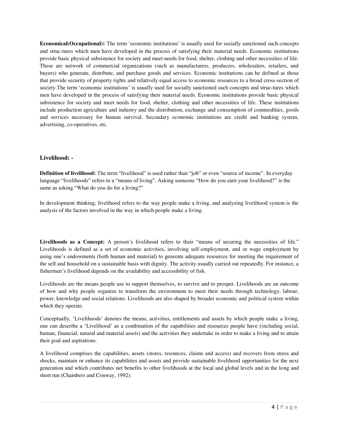**Economical(Occupational):** The term 'economic institutions' is usually used for socially sanctioned such concepts and struc-tures which men have developed in the process of satisfying their material needs. Economic institutions provide basic physical subsistence for society and meet needs for food, shelter, clothing and other necessities of life. These are network of commercial organizations (such as manufacturers, producers, wholesalers, retailers, and buyers) who generate, distribute, and purchase goods and services. Economic institutions can be defined as those that provide security of property rights and relatively equal access to economic resources to a broad cross-section of society. The term 'economic institutions' is usually used for socially sanctioned such concepts and struc-tures which men have developed in the process of satisfying their material needs. Economic institutions provide basic physical subsistence for society and meet needs for food, shelter, clothing and other necessities of life. These institutions include production agriculture and industry and the distribution, exchange and consumption of commodities, goods and services necessary for human survival. Secondary economic institutions are credit and banking system, advertising, co-operatives, etc.

#### **Livelihood: -**

**Definition of livelihood:** The term "livelihood" is used rather than "job" or even "source of income". In everyday language "livelihoods" refers to a "means of living". Asking someone "How do you earn your livelihood?" is the same as asking "What do you do for a living?"

In development thinking, livelihood refers to the way people make a living, and analyzing livelihood system is the analysis of the factors involved in the way in which people make a living.

**Livelihoods as a Concept:** A person's livelihood refers to their "means of securing the necessities of life." Livelihoods is defined as a set of economic activities, involving self-employment, and or wage employment by using one's endowments (both human and material) to generate adequate resources for meeting the requirement of the self and household on a sustainable basis with dignity. The activity usually carried out repeatedly. For instance, a fishermen's livelihood depends on the availability and accessibility of fish.

Livelihoods are the means people use to support themselves, to survive and to prosper. Livelihoods are an outcome of how and why people organize to transform the environment to meet their needs through technology, labour, power, knowledge and social relations. Livelihoods are also shaped by broader economic and political system within which they operate.

Conceptually, 'Livelihoods' denotes the means, activities, entitlements and assets by which people make a living, one can describe a 'Livelihood' as a combination of the capabilities and resources people have (including social, human, financial, natural and material assets) and the activities they undertake in order to make a living and to attain their goal and aspirations.

A livelihood comprises the capabilities, assets (stores, resources, claims and access) and recovers from stress and shocks, maintain or enhance its capabilities and assets and provide sustainable livelihood opportunities for the next generation and which contributes net benefits to other livelihoods at the local and global levels and in the long and short run (Chambers and Conway, 1992).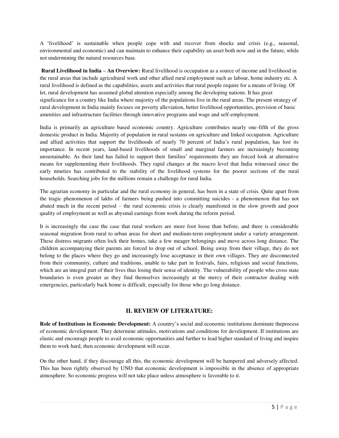A 'livelihood' is sustainable when people cope with and recover from shocks and crisis (e.g., seasonal, environmental and economic) and can maintain to enhance their capability an asset both now and in the future, while not undermining the natural resources base.

 **Rural Livelihood in India – An Overview:** Rural livelihood is occupation as a source of income and livelihood in the rural areas that include agricultural work and other allied rural employment such as labour, home industry etc. A rural livelihood is defined as the capabilities, assets and activities that rural people require for a means of living. Of let, rural development has assumed global attention especially among the developing nations. It has great significance for a country like India where majority of the populations live in the rural areas. The present strategy of rural development in India mainly focuses on poverty alleviation, better livelihood opportunities, provision of basic amenities and infrastructure facilities through innovative programs and wage and self-employment.

India is primarily an agriculture based economic country. Agriculture contributes nearly one-fifth of the gross domestic product in India. Majority of population in rural sustains on agriculture and linked occupation. Agriculture and allied activities that support the livelihoods of nearly 70 percent of India's rural population, has lost its importance. In recent years, land-based livelihoods of small and marginal farmers are increasingly becoming unsustainable. As their land has failed to support their families' requirements they are forced look at alternative means for supplementing their livelihoods. They rapid changes at the macro level that India witnessed since the early nineties has contributed to the stability of the livelihood systems for the poorer sections of the rural households. Searching jobs for the millions remain a challenge for rural India.

The agrarian economy in particular and the rural economy in general, has been in a state of crisis. Quite apart from the tragic phenomenon of lakhs of farmers being pushed into committing suicides - a phenomenon that has not abated much in the recent period – the rural economic crisis is clearly manifested in the slow growth and poor quality of employment as well as abysmal earnings from work during the reform period.

It is increasingly the case the case that rural workers are more foot loose than before, and there is considerable seasonal migration from rural to urban areas for short and medium-term employment under a variety arrangement. These distress migrants often lock their homes, take a few meager belongings and move across long distance. The children accompanying their parents are forced to drop out of school. Being away from their village, they do not belong to the places where they go and increasingly lose acceptance in their own villages. They are disconnected from their community, culture and traditions, unable to take part in festivals, fairs, religious and social functions, which are an integral part of their lives thus losing their sense of identity. The vulnerability of people who cross state boundaries is even greater as they find themselves increasingly at the mercy of their contractor dealing with emergencies, particularly back home is difficult, especially for those who go long distance.

## **II. REVIEW OF LITERATURE:**

**Role of Institutions in Economic Development:** A country's social and economic institutions dominate theprocess of economic development. They determine attitudes, motivations and conditions for development. If institutions are elastic and encourage people to avail economic opportunities and further to lead higher standard of living and inspire them to work hard, then economic development will occur.

On the other hand, if they discourage all this, the economic development will be hampered and adversely affected. This has been rightly observed by UNO that economic development is impossible in the absence of appropriate atmosphere. So economic progress will not take place unless atmosphere is favorable to it.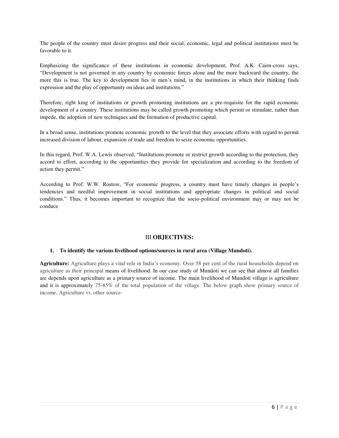The people of the country must desire progress and their social, economic, legal and political institutions must be favorable to it.

Emphasizing the significance of these institutions in economic development, Prof. A.K. Cairn-cross says, "Development is not governed in any country by economic forces alone and the more backward the country, the more this is true. The key to development lies in men's mind, in the institutions in which their thinking finds expression and the play of opportunity on ideas and institutions."

Therefore, right king of institutions or growth promoting institutions are a pre-requisite for the rapid economic development of a country. These institutions may be called growth promoting which permit or stimulate, rather than impede, the adoption of new techniques and the formation of productive capital.

In a broad sense, institutions promote economic growth to the level that they associate efforts with regard to permit increased division of labour, expansion of trade and freedom to seize economic opportunities.

In this regard, Prof. W.A. Lewis observed, "Institutions promote or restrict growth according to the protection, they accord to effort, according to the opportunities they provide for specialization and according to the freedom of action they permit."

According to Prof. W.W. Rostow, "For economic progress, a country must have timely changes in people's tendencies and needful improvement in social institutions and appropriate changes in political and social conditions." Thus, it becomes important to recognize that the socio-political environment may or may not be conduce

## III.**OBJECTIVES:**

#### **1. To identify the various livelihood options/sources in rural area (Village Mundoti).**

**Agriculture:** Agriculture plays a vital role in India's economy. Over 58 per cent of the rural households depend on agriculture as their principal means of livelihood. In our case study of Mundoti we can see that almost all families are depends upon agriculture as a primary source of income. The main livelihood of Mundoti village is agriculture and it is approximately 75-85% of the total population of the village. The below graph show primary source of income, Agriculture vs. other source-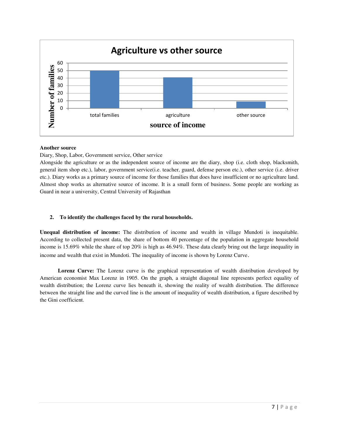

#### **Another source**

Diary, Shop, Labor, Government service, Other service

Alongside the agriculture or as the independent source of income are the diary, shop (i.e. cloth shop, blacksmith, general item shop etc.), labor, government service(i.e. teacher, guard, defense person etc.), other service (i.e. driver etc.). Diary works as a primary source of income for those families that does have insufficient or no agriculture land. Almost shop works as alternative source of income. It is a small form of business. Some people are working as Guard in near a university, Central University of Rajasthan

## **2. To identify the challenges faced by the rural households.**

**Unequal distribution of income:** The distribution of income and wealth in village Mundoti is inequitable. According to collected present data, the share of bottom 40 percentage of the population in aggregate household income is 15.69% while the share of top 20% is high as 46.94%. These data clearly bring out the large inequality in income and wealth that exist in Mundoti. The inequality of income is shown by Lorenz Curve.

 **Lorenz Curve:** The Lorenz curve is the graphical representation of wealth distribution developed by American [economist](http://www.investopedia.com/terms/e/economist.asp) Max Lorenz in 1905. On the graph, a straight diagonal line represents perfect equality of wealth distribution; the Lorenz curve lies beneath it, showing the reality of wealth distribution. The difference between the straight line and the curved line is the amount of inequality of wealth distribution, a figure described by the Gini coefficient.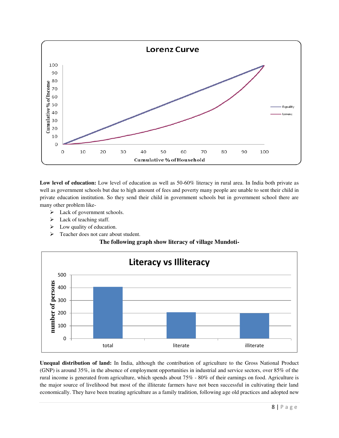

**Low level of education:** Low level of education as well as 50-60% literacy in rural area. In India both private as well as government schools but due to high amount of fees and poverty many people are unable to sent their child in private education institution. So they send their child in government schools but in government school there are many other problem like-

- ➢ Lack of government schools.
- $\blacktriangleright$  Lack of teaching staff.
- $\triangleright$  Low quality of education.
- ➢ Teacher does not care about student.

**The following graph show literacy of village Mundoti-**



**Unequal distribution of land:** In India, although the contribution of agriculture to the Gross National Product (GNP) is around 35%, in the absence of employment opportunities in industrial and service sectors, over 85% of the rural income is generated from agriculture, which spends about 75% - 80% of their earnings on food. Agriculture is the major source of livelihood but most of the illiterate farmers have not been successful in cultivating their land economically. They have been treating agriculture as a family tradition, following age old practices and adopted new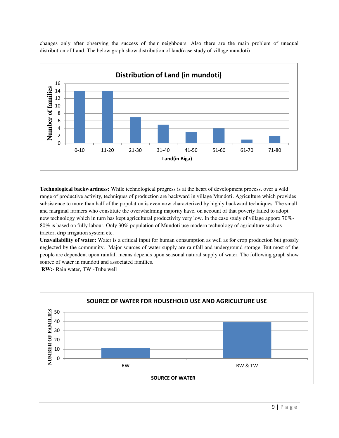changes only after observing the success of their neighbours. Also there are the main problem of unequal distribution of Land. The below graph show distribution of land(case study of village mundoti)



**Technological backwardness:** While technological progress is at the heart of development process, over a wild range of productive activity, techniques of production are backward in village Mundoti. Agriculture which provides subsistence to more than half of the population is even now characterized by highly backward techniques. The small and marginal farmers who constitute the overwhelming majority have, on account of that poverty failed to adopt new technology which in turn has kept agricultural productivity very low. In the case study of village apporx 70%- 80% is based on fully labour. Only 30% population of Mundoti use modern technology of agriculture such as tractor, drip irrigation system etc.

**Unavailability of water:** Water is a critical input for human consumption as well as for crop production but grossly neglected by the community. Major sources of water supply are rainfall and underground storage. But most of the people are dependent upon rainfall means depends upon seasonal natural supply of water. The following graph show source of water in mundoti and associated families.

**RW:-** Rain water, TW:-Tube well

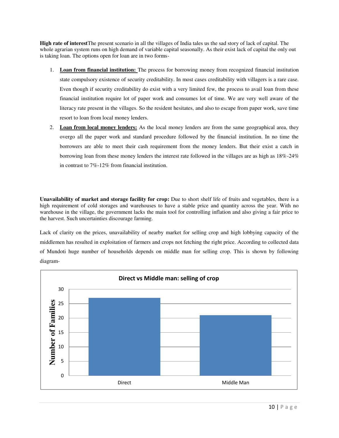**High rate of interest**The present scenario in all the villages of India tales us the sad story of lack of capital. The whole agrarian system runs on high demand of variable capital seasonally. As their exist lack of capital the only out is taking loan. The options open for loan are in two forms-

- 1. **Loan from financial institution:** The process for borrowing money from recognized financial institution state compulsory existence of security creditability. In most cases creditability with villagers is a rare case. Even though if security creditability do exist with a very limited few, the process to avail loan from these financial institution require lot of paper work and consumes lot of time. We are very well aware of the literacy rate present in the villages. So the resident hesitates, and also to escape from paper work, save time resort to loan from local money lenders.
- 2. **Loan from local money lenders:** As the local money lenders are from the same geographical area, they overgo all the paper work and standard procedure followed by the financial institution. In no time the borrowers are able to meet their cash requirement from the money lenders. But their exist a catch in borrowing loan from these money lenders the interest rate followed in the villages are as high as 18%-24% in contrast to 7%-12% from financial institution.

**Unavailability of market and storage facility for crop:** Due to short shelf life of fruits and vegetables, there is a high requirement of cold storages and warehouses to have a stable price and quantity across the year. With no warehouse in the village, the government lacks the main tool for controlling inflation and also giving a fair price to the harvest. Such uncertainties discourage farming.

Lack of clarity on the prices, unavailability of nearby market for selling crop and high lobbying capacity of the middlemen has resulted in exploitation of farmers and crops not fetching the right price. According to collected data of Mundoti huge number of households depends on middle man for selling crop. This is shown by following diagram-

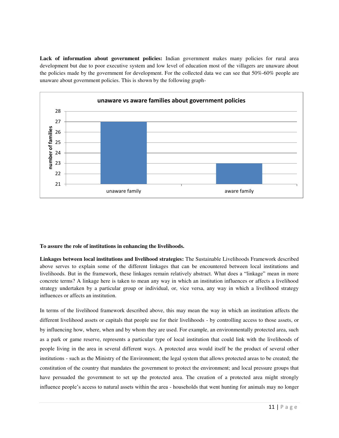Lack of information about government policies: Indian government makes many policies for rural area development but due to poor executive system and low level of education most of the villagers are unaware about the policies made by the government for development. For the collected data we can see that 50%-60% people are unaware about government policies. This is shown by the following graph-



#### **To assure the role of institutions in enhancing the livelihoods.**

**Linkages between local institutions and livelihood strategies:** The Sustainable Livelihoods Framework described above serves to explain some of the different linkages that can be encountered between local institutions and livelihoods. But in the framework, these linkages remain relatively abstract. What does a "linkage" mean in more concrete terms? A linkage here is taken to mean any way in which an institution influences or affects a livelihood strategy undertaken by a particular group or individual, or, vice versa, any way in which a livelihood strategy influences or affects an institution.

In terms of the livelihood framework described above, this may mean the way in which an institution affects the different livelihood assets or capitals that people use for their livelihoods - by controlling access to those assets, or by influencing how, where, when and by whom they are used. For example, an environmentally protected area, such as a park or game reserve, represents a particular type of local institution that could link with the livelihoods of people living in the area in several different ways. A protected area would itself be the product of several other institutions - such as the Ministry of the Environment; the legal system that allows protected areas to be created; the constitution of the country that mandates the government to protect the environment; and local pressure groups that have persuaded the government to set up the protected area. The creation of a protected area might strongly influence people's access to natural assets within the area - households that went hunting for animals may no longer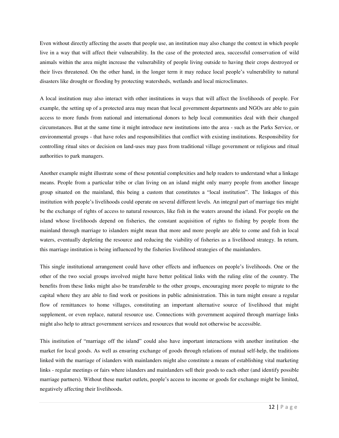Even without directly affecting the assets that people use, an institution may also change the context in which people live in a way that will affect their vulnerability. In the case of the protected area, successful conservation of wild animals within the area might increase the vulnerability of people living outside to having their crops destroyed or their lives threatened. On the other hand, in the longer term it may reduce local people's vulnerability to natural disasters like drought or flooding by protecting watersheds, wetlands and local microclimates.

A local institution may also interact with other institutions in ways that will affect the livelihoods of people. For example, the setting up of a protected area may mean that local government departments and NGOs are able to gain access to more funds from national and international donors to help local communities deal with their changed circumstances. But at the same time it might introduce new institutions into the area - such as the Parks Service, or environmental groups - that have roles and responsibilities that conflict with existing institutions. Responsibility for controlling ritual sites or decision on land-uses may pass from traditional village government or religious and ritual authorities to park managers.

Another example might illustrate some of these potential complexities and help readers to understand what a linkage means. People from a particular tribe or clan living on an island might only marry people from another lineage group situated on the mainland, this being a custom that constitutes a "local institution". The linkages of this institution with people's livelihoods could operate on several different levels. An integral part of marriage ties might be the exchange of rights of access to natural resources, like fish in the waters around the island. For people on the island whose livelihoods depend on fisheries, the constant acquisition of rights to fishing by people from the mainland through marriage to islanders might mean that more and more people are able to come and fish in local waters, eventually depleting the resource and reducing the viability of fisheries as a livelihood strategy. In return, this marriage institution is being influenced by the fisheries livelihood strategies of the mainlanders.

This single institutional arrangement could have other effects and influences on people's livelihoods. One or the other of the two social groups involved might have better political links with the ruling elite of the country. The benefits from these links might also be transferable to the other groups, encouraging more people to migrate to the capital where they are able to find work or positions in public administration. This in turn might ensure a regular flow of remittances to home villages, constituting an important alternative source of livelihood that might supplement, or even replace, natural resource use. Connections with government acquired through marriage links might also help to attract government services and resources that would not otherwise be accessible.

This institution of "marriage off the island" could also have important interactions with another institution -the market for local goods. As well as ensuring exchange of goods through relations of mutual self-help, the traditions linked with the marriage of islanders with mainlanders might also constitute a means of establishing vital marketing links - regular meetings or fairs where islanders and mainlanders sell their goods to each other (and identify possible marriage partners). Without these market outlets, people's access to income or goods for exchange might be limited, negatively affecting their livelihoods.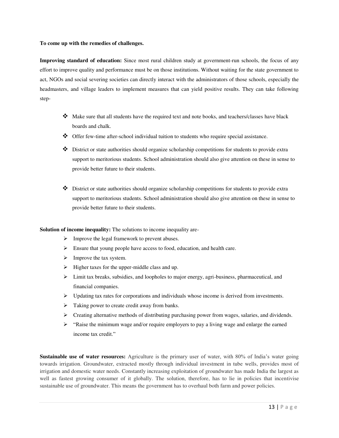#### **To come up with the remedies of challenges.**

**Improving standard of education:** Since most rural children study at government-run schools, the focus of any effort to improve quality and performance must be on those institutions. Without waiting for the state government to act, NGOs and social severing societies can directly interact with the administrators of those schools, especially the headmasters, and village leaders to implement measures that can yield positive results. They can take following step-

- ❖ Make sure that all students have the required text and note books, and teachers/classes have black boards and chalk.
- ❖ Offer few-time after-school individual tuition to students who require special assistance.
- ❖ District or state authorities should organize scholarship competitions for students to provide extra support to meritorious students. School administration should also give attention on these in sense to provide better future to their students.
- ❖ District or state authorities should organize scholarship competitions for students to provide extra support to meritorious students. School administration should also give attention on these in sense to provide better future to their students.

**Solution of income inequality:** The solutions to income inequality are-

- ➢ Improve the legal framework to prevent abuses.
- ➢ Ensure that young people have access to food, education, and health care.
- ➢ Improve the tax system.
- ➢ Higher taxes for the upper-middle class and up.
- ➢ Limit tax breaks, subsidies, and loopholes to major energy, agri-business, pharmaceutical, and financial companies.
- $\triangleright$  Updating tax rates for corporations and individuals whose income is derived from investments.
- $\triangleright$  Taking power to create credit away from banks.
- $\triangleright$  Creating alternative methods of distributing purchasing power from wages, salaries, and dividends.
- $\triangleright$  "Raise the minimum wage and/or require employers to pay a living wage and enlarge the earned income tax credit."

**Sustainable use of water resources:** Agriculture is the primary user of water, with 80% of India's water going towards irrigation. Groundwater, extracted mostly through individual investment in tube wells, provides most of irrigation and domestic water needs. Constantly increasing exploitation of groundwater has made India the largest as well as fastest growing consumer of it globally. The solution, therefore, has to lie in policies that incentivise sustainable use of groundwater. This means the government has to overhaul both farm and power policies.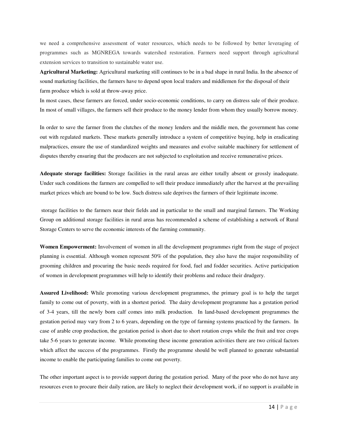we need a comprehensive assessment of water resources, which needs to be followed by better leveraging of programmes such as MGNREGA towards watershed restoration. Farmers need support through agricultural extension services to transition to sustainable water use.

**Agricultural Marketing:** Agricultural marketing still continues to be in a bad shape in rural India. In the absence of sound marketing facilities, the farmers have to depend upon local traders and middlemen for the disposal of their farm produce which is sold at throw-away price.

In most cases, these farmers are forced, under socio-economic conditions, to carry on distress sale of their produce. In most of small villages, the farmers sell their produce to the money lender from whom they usually borrow money.

In order to save the farmer from the clutches of the money lenders and the middle men, the government has come out with regulated markets. These markets generally introduce a system of competitive buying, help in eradicating malpractices, ensure the use of standardized weights and measures and evolve suitable machinery for settlement of disputes thereby ensuring that the producers are not subjected to exploitation and receive remunerative prices.

**Adequate storage facilities:** Storage facilities in the rural areas are either totally absent or grossly inadequate. Under such conditions the farmers are compelled to sell their produce immediately after the harvest at the prevailing market prices which are bound to be low. Such distress sale deprives the farmers of their legitimate income.

 storage facilities to the farmers near their fields and in particular to the small and marginal farmers. The Working Group on additional storage facilities in rural areas has recommended a scheme of establishing a network of Rural Storage Centers to serve the economic interests of the farming community.

**Women Empowerment:** Involvement of women in all the development programmes right from the stage of project planning is essential. Although women represent 50% of the population, they also have the major responsibility of grooming children and procuring the basic needs required for food, fuel and fodder securities. Active participation of women in development programmes will help to identify their problems and reduce their drudgery.

**Assured Livelihood:** While promoting various development programmes, the primary goal is to help the target family to come out of poverty, with in a shortest period. The dairy development programme has a gestation period of 3-4 years, till the newly born calf comes into milk production. In land-based development programmes the gestation period may vary from 2 to 6 years, depending on the type of farming systems practiced by the farmers. In case of arable crop production, the gestation period is short due to short rotation crops while the fruit and tree crops take 5-6 years to generate income. While promoting these income generation activities there are two critical factors which affect the success of the programmes. Firstly the programme should be well planned to generate substantial income to enable the participating families to come out poverty.

The other important aspect is to provide support during the gestation period. Many of the poor who do not have any resources even to procure their daily ration, are likely to neglect their development work, if no support is available in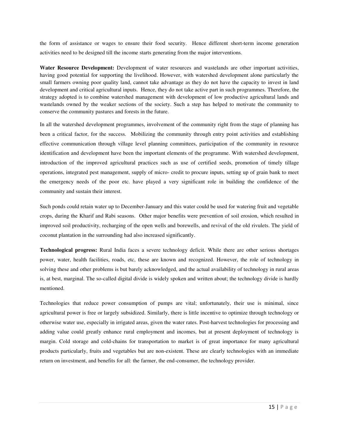the form of assistance or wages to ensure their food security. Hence different short-term income generation activities need to be designed till the income starts generating from the major interventions.

**Water Resource Development:** Development of water resources and wastelands are other important activities, having good potential for supporting the livelihood. However, with watershed development alone particularly the small farmers owning poor quality land, cannot take advantage as they do not have the capacity to invest in land development and critical agricultural inputs. Hence, they do not take active part in such programmes. Therefore, the strategy adopted is to combine watershed management with development of low productive agricultural lands and wastelands owned by the weaker sections of the society. Such a step has helped to motivate the community to conserve the community pastures and forests in the future.

In all the watershed development programmes, involvement of the community right from the stage of planning has been a critical factor, for the success. Mobilizing the community through entry point activities and establishing effective communication through village level planning committees, participation of the community in resource identification and development have been the important elements of the programme. With watershed development, introduction of the improved agricultural practices such as use of certified seeds, promotion of timely tillage operations, integrated pest management, supply of micro- credit to procure inputs, setting up of grain bank to meet the emergency needs of the poor etc. have played a very significant role in building the confidence of the community and sustain their interest.

Such ponds could retain water up to December-January and this water could be used for watering fruit and vegetable crops, during the Kharif and Rabi seasons. Other major benefits were prevention of soil erosion, which resulted in improved soil productivity, recharging of the open wells and borewells, and revival of the old rivulets. The yield of coconut plantation in the surrounding had also increased significantly.

**Technological progress:** Rural India faces a severe technology deficit. While there are other serious shortages power, water, health facilities, roads, etc, these are known and recognized. However, the role of technology in solving these and other problems is but barely acknowledged, and the actual availability of technology in rural areas is, at best, marginal. The so-called digital divide is widely spoken and written about; the technology divide is hardly mentioned.

Technologies that reduce power consumption of pumps are vital; unfortunately, their use is minimal, since agricultural power is free or largely subsidized. Similarly, there is little incentive to optimize through technology or otherwise water use, especially in irrigated areas, given the water rates. Post-harvest technologies for processing and adding value could greatly enhance rural employment and incomes, but at present deployment of technology is margin. Cold storage and cold-chains for transportation to market is of great importance for many agricultural products particularly, fruits and vegetables but are non-existent. These are clearly technologies with an immediate return on investment, and benefits for all: the farmer, the end-consumer, the technology provider.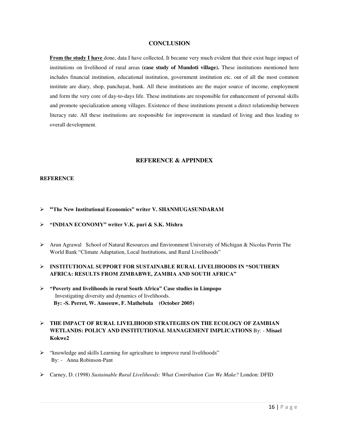#### **CONCLUSION**

**From the study I have** done, data I have collected, It became very much evident that their exist huge impact of institutions on livelihood of rural areas **(case study of Mundoti village).** These institutions mentioned here includes financial institution, educational institution, government institution etc. out of all the most common institute are diary, shop, panchayat, bank. All these institutions are the major source of income, employment and form the very core of day-to-days life. These institutions are responsible for enhancement of personal skills and promote specialization among villages. Existence of these institutions present a direct relationship between literacy rate. All these institutions are responsible for improvement in standard of living and thus leading to overall development.

#### **REFERENCE & APPINDEX**

#### **REFERENCE**

- ➢ **"The New Institutional Economics" writer V. SHANMUGASUNDARAM**
- ➢ **"INDIAN ECONOMY" writer V.K. puri & S.K. Mishra**
- ➢ Arun Agrawal School of Natural Resources and Environment University of Michigan & Nicolas Perrin The World Bank "Climate Adaptation, Local Institutions, and Rural Livelihoods"

## ➢ **INSTITUTIONAL SUPPORT FOR SUSTAINABLE RURAL LIVELIHOODS IN "SOUTHERN AFRICA: RESULTS FROM ZIMBABWE, ZAMBIA AND SOUTH AFRICA"**

➢ **"Poverty and livelihoods in rural South Africa" Case studies in Limpopo**  Investigating diversity and dynamics of livelihoods. **By: -S. Perret, W. Anseeuw, F. Mathebula (October 2005)**

## ➢ **THE IMPACT OF RURAL LIVELIHOOD STRATEGIES ON THE ECOLOGY OF ZAMBIAN WETLANDS: POLICY AND INSTITUTIONAL MANAGEMENT IMPLICATIONS** By: - **Misael Kokwe2**

- ➢ "knowledge and skills Learning for agriculture to improve rural livelihoods" By: - Anna Robinson-Pant
- ➢ Carney, D. (1998) *Sustainable Rural Livelihoods: What Contribution Can We Make?* London: DFID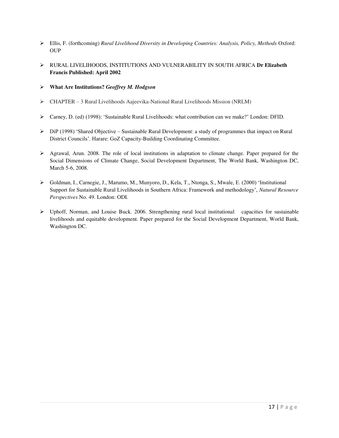- ➢ Ellis, F. (forthcoming) *Rural Livelihood Diversity in Developing Countries: Analysis, Policy, Methods* Oxford: **OUP**
- ➢ RURAL LIVELIHOODS, INSTITUTIONS AND VULNERABILITY IN SOUTH AFRICA **Dr Elizabeth Francis Published: April 2002**
- ➢ **What Are Institutions?** *Geoffrey M. Hodgson*
- ➢ CHAPTER 3 Rural Livelihoods Aajeevika-National Rural Livelihoods Mission (NRLM)
- ➢ Carney, D. (ed) (1998): 'Sustainable Rural Livelihoods: what contribution can we make?' London: DFID.
- $\triangleright$  DiP (1998) 'Shared Objective Sustainable Rural Development: a study of programmes that impact on Rural District Councils'. Harare: GoZ Capacity-Building Coordinating Committee.
- ➢ Agrawal, Arun. 2008. The role of local institutions in adaptation to climate change. Paper prepared for the Social Dimensions of Climate Change, Social Development Department, The World Bank, Washington DC, March 5-6, 2008.
- ➢ Goldman, I., Carnegie, J., Marumo, M., Munyoro, D., Kela, T., Ntonga, S., Mwale, E. (2000) 'Institutional Support for Sustainable Rural Livelihoods in Southern Africa: Framework and methodology', *Natural Resource Perspectives* No. 49. London: ODI.
- ➢ Uphoff, Norman, and Louise Buck. 2006. Strengthening rural local institutional capacities for sustainable livelihoods and equitable development. Paper prepared for the Social Development Department, World Bank, Washington DC.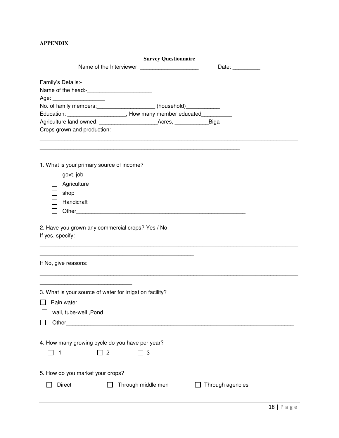## **APPENDIX**

|                                                                                                                                              | <b>Survey Questionnaire</b> |                  |  |
|----------------------------------------------------------------------------------------------------------------------------------------------|-----------------------------|------------------|--|
| Name of the Interviewer: ________________________                                                                                            |                             | Date: __________ |  |
| Family's Details:-                                                                                                                           |                             |                  |  |
| Age: _______________________<br>No. of family members: ____________________ (household)____________                                          |                             |                  |  |
|                                                                                                                                              |                             |                  |  |
| Education: ____________________________, How many member educated______________                                                              |                             |                  |  |
| Crops grown and production:-                                                                                                                 |                             |                  |  |
|                                                                                                                                              |                             |                  |  |
| 1. What is your primary source of income?                                                                                                    |                             |                  |  |
| govt. job                                                                                                                                    |                             |                  |  |
| Agriculture                                                                                                                                  |                             |                  |  |
| shop                                                                                                                                         |                             |                  |  |
| Handicraft                                                                                                                                   |                             |                  |  |
|                                                                                                                                              |                             |                  |  |
| 2. Have you grown any commercial crops? Yes / No<br>If yes, specify:                                                                         |                             |                  |  |
| <u> 1989 - Johann John Harry Harry Harry Harry Harry Harry Harry Harry Harry Harry Harry Harry Harry Harry Harry</u><br>If No, give reasons: |                             |                  |  |
| 3. What is your source of water for irrigation facility?                                                                                     |                             |                  |  |
| Rain water                                                                                                                                   |                             |                  |  |
|                                                                                                                                              |                             |                  |  |
| wall, tube-well , Pond                                                                                                                       |                             |                  |  |
|                                                                                                                                              |                             |                  |  |
| 4. How many growing cycle do you have per year?<br>$\overline{c}$<br>3<br>1                                                                  |                             |                  |  |
| 5. How do you market your crops?                                                                                                             |                             |                  |  |
|                                                                                                                                              |                             |                  |  |
| <b>Direct</b><br>Through middle men                                                                                                          |                             | Through agencies |  |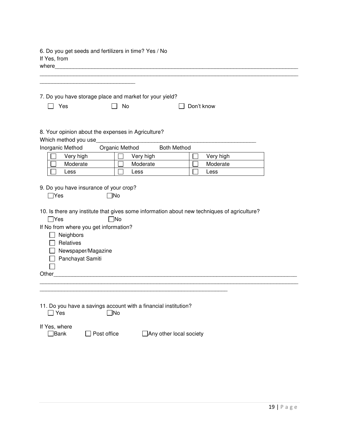| If Yes, from<br>where                                                                                                                                                                           | 6. Do you get seeds and fertilizers in time? Yes / No                    |                    |                                                                                             |  |
|-------------------------------------------------------------------------------------------------------------------------------------------------------------------------------------------------|--------------------------------------------------------------------------|--------------------|---------------------------------------------------------------------------------------------|--|
| Yes<br>$\Box$                                                                                                                                                                                   | 7. Do you have storage place and market for your yield?<br>No<br>$\perp$ |                    | Don't know                                                                                  |  |
|                                                                                                                                                                                                 |                                                                          |                    |                                                                                             |  |
| Which method you use                                                                                                                                                                            | 8. Your opinion about the expenses in Agriculture?                       |                    |                                                                                             |  |
| Inorganic Method                                                                                                                                                                                | Organic Method                                                           | <b>Both Method</b> |                                                                                             |  |
| Very high                                                                                                                                                                                       | Very high                                                                |                    | Very high                                                                                   |  |
| Moderate                                                                                                                                                                                        | Moderate                                                                 |                    | Moderate                                                                                    |  |
| Less                                                                                                                                                                                            | Less                                                                     |                    | Less                                                                                        |  |
| 9. Do you have insurance of your crop?<br>$\Box$ Yes<br>$\Box$ Yes<br>If No from where you get information?<br>$\Box$ Neighbors<br>Relatives<br>Newspaper/Magazine<br>Panchayat Samiti<br>Other | ]No<br>$\neg$ No                                                         |                    | 10. Is there any institute that gives some information about new techniques of agriculture? |  |
| $\Box$ Yes                                                                                                                                                                                      | 11. Do you have a savings account with a financial institution?<br>∃No   |                    |                                                                                             |  |

| If Yes, where |             |
|---------------|-------------|
| $\Box$ Bank   | Post office |

 $\Box$  Any other local society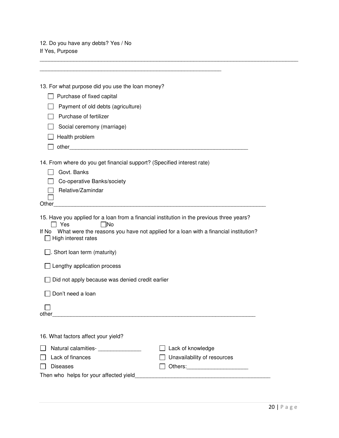12. Do you have any debts? Yes / No If Yes, Purpose

| 13. For what purpose did you use the loan money?                                                                        |                             |
|-------------------------------------------------------------------------------------------------------------------------|-----------------------------|
| Purchase of fixed capital                                                                                               |                             |
| Payment of old debts (agriculture)                                                                                      |                             |
| Purchase of fertilizer                                                                                                  |                             |
| Social ceremony (marriage)                                                                                              |                             |
| Health problem                                                                                                          |                             |
|                                                                                                                         |                             |
| 14. From where do you get financial support? (Specified interest rate)                                                  |                             |
| Govt. Banks                                                                                                             |                             |
| Co-operative Banks/society                                                                                              |                             |
| Relative/Zamindar                                                                                                       |                             |
| Other <b>Other Communities Communities Communities Communities Communities</b>                                          |                             |
|                                                                                                                         |                             |
| 15. Have you applied for a loan from a financial institution in the previous three years?<br>- INo<br>l Yes             |                             |
| If No What were the reasons you have not applied for a loan with a financial institution?<br>$\Box$ High interest rates |                             |
| $\Box$ . Short loan term (maturity)                                                                                     |                             |
| Lengthy application process                                                                                             |                             |
| Did not apply because was denied credit earlier                                                                         |                             |
| Don't need a loan                                                                                                       |                             |
|                                                                                                                         |                             |
| other                                                                                                                   |                             |
|                                                                                                                         |                             |
| 16. What factors affect your yield?                                                                                     |                             |
|                                                                                                                         | Lack of knowledge           |
| Lack of finances                                                                                                        | Unavailability of resources |
| <b>Diseases</b>                                                                                                         |                             |
| Then who helps for your affected yield                                                                                  |                             |

\_\_\_\_\_\_\_\_\_\_\_\_\_\_\_\_\_\_\_\_\_\_\_\_\_\_\_\_\_\_\_\_\_\_\_\_\_\_\_\_\_\_\_\_\_\_\_\_\_\_\_\_\_\_\_\_\_\_\_\_\_\_\_\_\_\_\_\_\_\_\_\_\_\_\_\_\_\_\_\_\_\_\_\_

\_\_\_\_\_\_\_\_\_\_\_\_\_\_\_\_\_\_\_\_\_\_\_\_\_\_\_\_\_\_\_\_\_\_\_\_\_\_\_\_\_\_\_\_\_\_\_\_\_\_\_\_\_\_\_\_\_\_\_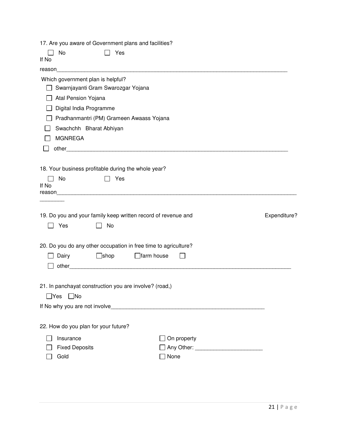17. Are you aware of Government plans and facilities?

| If No | No                                                                      | Yes         |                                                                 |              |
|-------|-------------------------------------------------------------------------|-------------|-----------------------------------------------------------------|--------------|
|       |                                                                         |             |                                                                 |              |
|       | Which government plan is helpful?<br>Swarnjayanti Gram Swarozgar Yojana |             |                                                                 |              |
|       | Atal Pension Yojana                                                     |             |                                                                 |              |
|       | Digital India Programme                                                 |             |                                                                 |              |
|       |                                                                         |             |                                                                 |              |
|       | Pradhanmantri (PM) Grameen Awaass Yojana                                |             |                                                                 |              |
|       | Swachchh Bharat Abhiyan                                                 |             |                                                                 |              |
|       | <b>MGNREGA</b>                                                          |             |                                                                 |              |
|       |                                                                         |             |                                                                 |              |
|       | 18. Your business profitable during the whole year?                     |             |                                                                 |              |
|       | No                                                                      | Yes         |                                                                 |              |
| If No |                                                                         |             |                                                                 |              |
|       |                                                                         |             |                                                                 |              |
|       |                                                                         |             |                                                                 |              |
|       |                                                                         |             |                                                                 |              |
|       |                                                                         |             | 19. Do you and your family keep written record of revenue and   | Expenditure? |
|       | Yes                                                                     | No          |                                                                 |              |
|       |                                                                         |             | 20. Do you do any other occupation in free time to agriculture? |              |
|       | Dairy                                                                   | $\Box$ shop | $\Box$ farm house                                               |              |
|       |                                                                         |             |                                                                 |              |
|       |                                                                         |             |                                                                 |              |
|       | 21. In panchayat construction you are involve? (road,)                  |             |                                                                 |              |
|       | ]Yes<br>$\Box$ No                                                       |             |                                                                 |              |
|       |                                                                         |             |                                                                 |              |
|       |                                                                         |             |                                                                 |              |
|       | 22. How do you plan for your future?                                    |             |                                                                 |              |
|       | Insurance                                                               |             | On property                                                     |              |
|       | <b>Fixed Deposits</b>                                                   |             | None                                                            |              |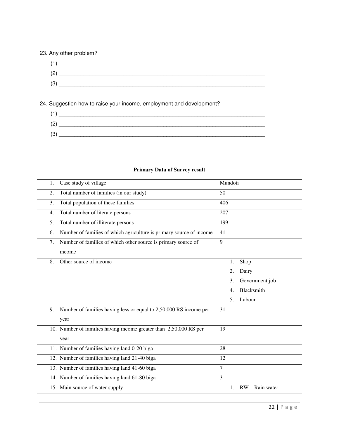## 23. Any other problem?



24. Suggestion how to raise your income, employment and development?

## **Primary Data of Survey result**

| 1. | Case study of village                                               | Mundoti        |                 |
|----|---------------------------------------------------------------------|----------------|-----------------|
| 2. | Total number of families (in our study)                             | 50             |                 |
| 3. | Total population of these families                                  | 406            |                 |
| 4. | Total number of literate persons                                    | 207            |                 |
| 5. | Total number of illiterate persons                                  | 199            |                 |
| 6. | Number of families of which agriculture is primary source of income | 41             |                 |
| 7. | Number of families of which other source is primary source of       | 9              |                 |
|    | income                                                              |                |                 |
| 8. | Other source of income                                              | 1.             | Shop            |
|    |                                                                     | 2.             | Dairy           |
|    |                                                                     | 3.             | Government job  |
|    |                                                                     | 4.             | Blacksmith      |
|    |                                                                     | 5.             | Labour          |
| 9. | Number of families having less or equal to 2,50,000 RS income per   | 31             |                 |
|    | year                                                                |                |                 |
|    | 10. Number of families having income greater than 2,50,000 RS per   | 19             |                 |
|    | year                                                                |                |                 |
|    | 11. Number of families having land 0-20 biga                        | 28             |                 |
|    | 12. Number of families having land 21-40 biga                       | 12             |                 |
|    | 13. Number of families having land 41-60 biga                       | $\overline{7}$ |                 |
|    | 14. Number of families having land 61-80 biga                       | $\overline{3}$ |                 |
|    | 15. Main source of water supply                                     | 1.             | RW - Rain water |